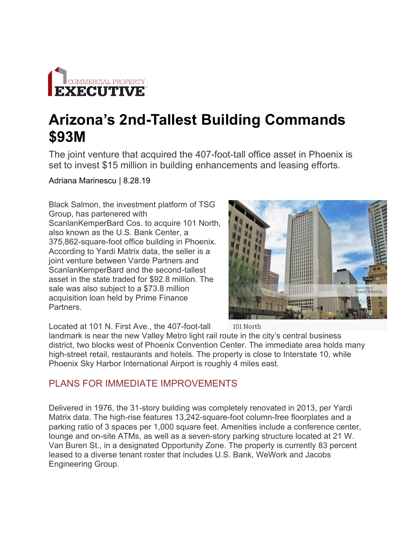

## **Arizona's 2nd-Tallest Building Commands \$93M**

The joint venture that acquired the 407-foot-tall office asset in Phoenix is set to invest \$15 million in building enhancements and leasing efforts.

Adriana Marinescu | 8.28.19

Black Salmon, the investment platform of TSG Group, has partenered with ScanlanKemperBard Cos. to acquire 101 North, also known as the U.S. Bank Center, a 375,862-square-foot office building in Phoenix. According to Yardi Matrix data, the seller is a joint venture between Varde Partners and ScanlanKemperBard and the second-tallest asset in the state traded for \$92.8 million. The sale was also subject to a \$73.8 million acquisition loan held by Prime Finance Partners.



Located at 101 N. First Ave., the 407-foot-tall

landmark is near the new Valley Metro light rail route in the city's central business district, two blocks west of Phoenix Convention Center. The immediate area holds many high-street retail, restaurants and hotels. The property is close to Interstate 10, while Phoenix Sky Harbor International Airport is roughly 4 miles east.

## PLANS FOR IMMEDIATE IMPROVEMENTS

Delivered in 1976, the 31-story building was completely renovated in 2013, per Yardi Matrix data. The high-rise features 13,242-square-foot column-free floorplates and a parking ratio of 3 spaces per 1,000 square feet. Amenities include a conference center, lounge and on-site ATMs, as well as a seven-story parking structure located at 21 W. Van Buren St., in a designated Opportunity Zone. The property is currently 83 percent leased to a diverse tenant roster that includes U.S. Bank, WeWork and Jacobs Engineering Group.

101 North